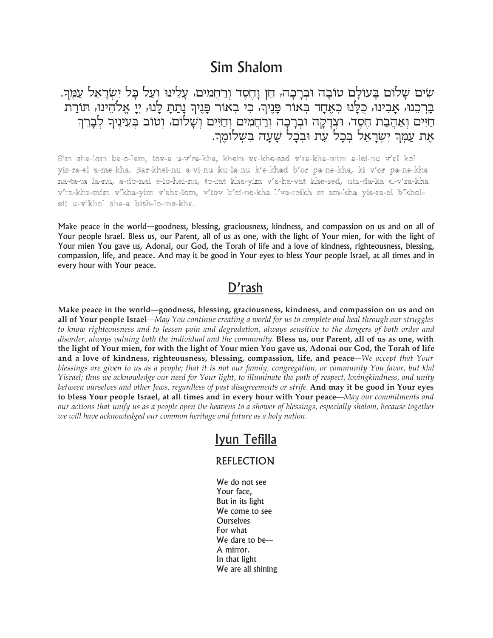## Sim Shalom

שים שלום בְעולָם טוֹבָה וּבִרָכָה, חֵן וָחֵסֶד וִרַחֲמִים, עָלֵינוּ וִעַל כָּל יִשְׂרָאֵל עַמֵּךְ. בַּרְכֵנוּ, אָבִינוּ, כְּלָנוּ כִּאֶחָד בִּאוֹר פָּנֵיךָ, כִּי בִאוֹר פָּנֵיךְ נָתַתָ לָנוּ, יִיָ אֱלֹהֵינוּ, תוֹרַת חַיִּים וְאַהֲבַת חֶסֶד, וּצְדָקָה וּבְרָכָה וְרַחֲמִים וְחַיִּים וְשָׁלוֹם, וְטוֹב בְּעֵינֶיךָ לְבָרֵךְ אָת עַמְּךְ יִשְׂרָאֵל בְּכָל עֶת וּבְכָל שַׁעֲה בִשְׁלוֹמֵךְ.

Sim sha-lom ba-o-lam, tov-a u-v'ra-kha, khein va-khe-sed v'ra-kha-mim a-lei-nu v'al kol yis-ra-el a-me-kha. Bar-khei-nu a-vi-nu ku-la-nu k'e-khad b'or pa-ne-kha, ki v'or pa-ne-kha na-ta-ta la-nu, a-do-nai e-lo-hei-nu, to-rat kha-yim v'a-ha-vat khe-sed, utz-da-ka u-v'ra-kha v'ra-kha-mim v'kha-yim v'sha-lom, v'tov b'ei-ne-kha l'va-reikh et am-kha yis-ra-el b'kholeit u-v'khol sha-a bish-lo-me-kha.

Make peace in the world—goodness, blessing, graciousness, kindness, and compassion on us and on all of Your people Israel. Bless us, our Parent, all of us as one, with the light of Your mien, for with the light of Your mien You gave us, Adonai, our God, the Torah of life and a love of kindness, righteousness, blessing, compassion, life, and peace. And may it be good in Your eyes to bless Your people Israel, at all times and in every hour with Your peace.

## D'rash

Make peace in the world—goodness, blessing, graciousness, kindness, and compassion on us and on all of Your people Israel—May You continue creating a world for us to complete and heal through our struggles to know righteousness and to lessen pain and degradation, always sensitive to the dangers of both order and disorder, always valuing both the individual and the community. Bless us, our Parent, all of us as one, with the light of Your mien, for with the light of Your mien You gave us, Adonai our God, the Torah of life and a love of kindness, righteousness, blessing, compassion, life, and peace—We accept that Your blessings are given to us as a people; that it is not our family, congregation, or community You favor, but klal Yisrael; thus we acknowledge our need for Your light, to illuminate the path of respect, lovingkindness, and unity between ourselves and other Jews, regardless of past disagreements or strife. And may it be good in Your eyes to bless Your people Israel, at all times and in every hour with Your peace—May our commitments and our actions that unify us as a people open the heavens to a shower of blessings, especially shalom, because together we will have acknowledged our common heritage and future as a holy nation.

## Iyun Tefilla

## **REFLECTION**

We do not see Your face, But in its light We come to see **Ourselves** For what We dare to be-A mirror. In that light We are all shining